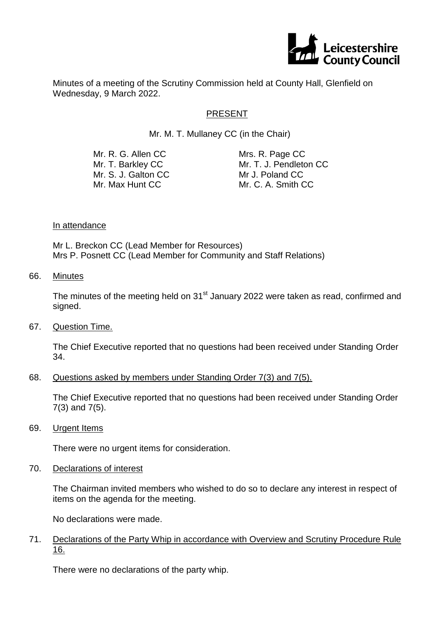

Minutes of a meeting of the Scrutiny Commission held at County Hall, Glenfield on Wednesday, 9 March 2022.

## PRESENT

Mr. M. T. Mullaney CC (in the Chair)

| Mr. R. G. Allen CC  | Mrs. R. Page CC        |
|---------------------|------------------------|
| Mr. T. Barkley CC   | Mr. T. J. Pendleton CC |
| Mr. S. J. Galton CC | Mr J. Poland CC        |
| Mr. Max Hunt CC     | Mr. C. A. Smith CC     |
|                     |                        |

#### In attendance

Mr L. Breckon CC (Lead Member for Resources) Mrs P. Posnett CC (Lead Member for Community and Staff Relations)

66. Minutes

The minutes of the meeting held on  $31<sup>st</sup>$  January 2022 were taken as read, confirmed and signed.

67. Question Time.

The Chief Executive reported that no questions had been received under Standing Order 34.

68. Questions asked by members under Standing Order 7(3) and 7(5).

The Chief Executive reported that no questions had been received under Standing Order 7(3) and 7(5).

69. Urgent Items

There were no urgent items for consideration.

70. Declarations of interest

The Chairman invited members who wished to do so to declare any interest in respect of items on the agenda for the meeting.

No declarations were made.

71. Declarations of the Party Whip in accordance with Overview and Scrutiny Procedure Rule 16.

There were no declarations of the party whip.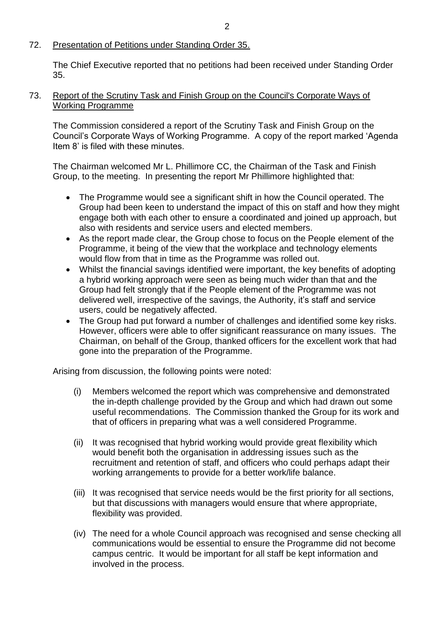# 72. Presentation of Petitions under Standing Order 35.

The Chief Executive reported that no petitions had been received under Standing Order 35.

## 73. Report of the Scrutiny Task and Finish Group on the Council's Corporate Ways of Working Programme

The Commission considered a report of the Scrutiny Task and Finish Group on the Council's Corporate Ways of Working Programme. A copy of the report marked 'Agenda Item 8' is filed with these minutes.

The Chairman welcomed Mr L. Phillimore CC, the Chairman of the Task and Finish Group, to the meeting. In presenting the report Mr Phillimore highlighted that:

- The Programme would see a significant shift in how the Council operated. The Group had been keen to understand the impact of this on staff and how they might engage both with each other to ensure a coordinated and joined up approach, but also with residents and service users and elected members.
- As the report made clear, the Group chose to focus on the People element of the Programme, it being of the view that the workplace and technology elements would flow from that in time as the Programme was rolled out.
- Whilst the financial savings identified were important, the key benefits of adopting a hybrid working approach were seen as being much wider than that and the Group had felt strongly that if the People element of the Programme was not delivered well, irrespective of the savings, the Authority, it's staff and service users, could be negatively affected.
- The Group had put forward a number of challenges and identified some key risks. However, officers were able to offer significant reassurance on many issues. The Chairman, on behalf of the Group, thanked officers for the excellent work that had gone into the preparation of the Programme.

Arising from discussion, the following points were noted:

- (i) Members welcomed the report which was comprehensive and demonstrated the in-depth challenge provided by the Group and which had drawn out some useful recommendations. The Commission thanked the Group for its work and that of officers in preparing what was a well considered Programme.
- (ii) It was recognised that hybrid working would provide great flexibility which would benefit both the organisation in addressing issues such as the recruitment and retention of staff, and officers who could perhaps adapt their working arrangements to provide for a better work/life balance.
- (iii) It was recognised that service needs would be the first priority for all sections, but that discussions with managers would ensure that where appropriate, flexibility was provided.
- (iv) The need for a whole Council approach was recognised and sense checking all communications would be essential to ensure the Programme did not become campus centric. It would be important for all staff be kept information and involved in the process.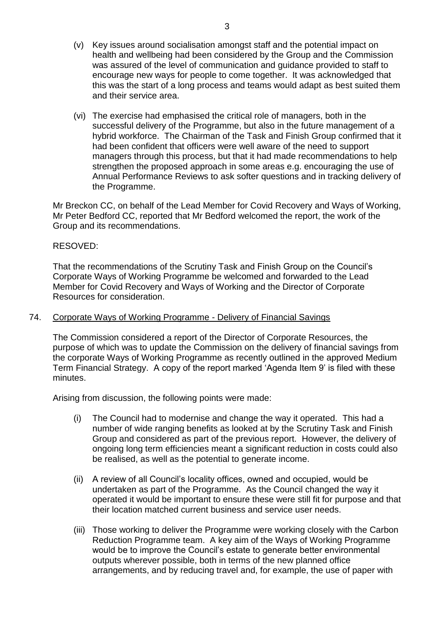- (v) Key issues around socialisation amongst staff and the potential impact on health and wellbeing had been considered by the Group and the Commission was assured of the level of communication and guidance provided to staff to encourage new ways for people to come together. It was acknowledged that this was the start of a long process and teams would adapt as best suited them and their service area.
- (vi) The exercise had emphasised the critical role of managers, both in the successful delivery of the Programme, but also in the future management of a hybrid workforce. The Chairman of the Task and Finish Group confirmed that it had been confident that officers were well aware of the need to support managers through this process, but that it had made recommendations to help strengthen the proposed approach in some areas e.g. encouraging the use of Annual Performance Reviews to ask softer questions and in tracking delivery of the Programme.

Mr Breckon CC, on behalf of the Lead Member for Covid Recovery and Ways of Working, Mr Peter Bedford CC, reported that Mr Bedford welcomed the report, the work of the Group and its recommendations.

## RESOVED:

That the recommendations of the Scrutiny Task and Finish Group on the Council's Corporate Ways of Working Programme be welcomed and forwarded to the Lead Member for Covid Recovery and Ways of Working and the Director of Corporate Resources for consideration.

#### 74. Corporate Ways of Working Programme - Delivery of Financial Savings

The Commission considered a report of the Director of Corporate Resources, the purpose of which was to update the Commission on the delivery of financial savings from the corporate Ways of Working Programme as recently outlined in the approved Medium Term Financial Strategy. A copy of the report marked 'Agenda Item 9' is filed with these minutes.

Arising from discussion, the following points were made:

- (i) The Council had to modernise and change the way it operated. This had a number of wide ranging benefits as looked at by the Scrutiny Task and Finish Group and considered as part of the previous report. However, the delivery of ongoing long term efficiencies meant a significant reduction in costs could also be realised, as well as the potential to generate income.
- (ii) A review of all Council's locality offices, owned and occupied, would be undertaken as part of the Programme. As the Council changed the way it operated it would be important to ensure these were still fit for purpose and that their location matched current business and service user needs.
- (iii) Those working to deliver the Programme were working closely with the Carbon Reduction Programme team. A key aim of the Ways of Working Programme would be to improve the Council's estate to generate better environmental outputs wherever possible, both in terms of the new planned office arrangements, and by reducing travel and, for example, the use of paper with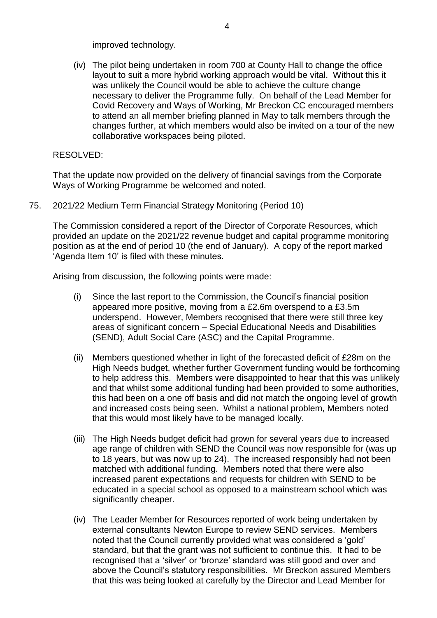improved technology.

(iv) The pilot being undertaken in room 700 at County Hall to change the office layout to suit a more hybrid working approach would be vital. Without this it was unlikely the Council would be able to achieve the culture change necessary to deliver the Programme fully. On behalf of the Lead Member for Covid Recovery and Ways of Working, Mr Breckon CC encouraged members to attend an all member briefing planned in May to talk members through the changes further, at which members would also be invited on a tour of the new collaborative workspaces being piloted.

## RESOLVED:

That the update now provided on the delivery of financial savings from the Corporate Ways of Working Programme be welcomed and noted.

### 75. 2021/22 Medium Term Financial Strategy Monitoring (Period 10)

The Commission considered a report of the Director of Corporate Resources, which provided an update on the 2021/22 revenue budget and capital programme monitoring position as at the end of period 10 (the end of January). A copy of the report marked 'Agenda Item 10' is filed with these minutes.

Arising from discussion, the following points were made:

- (i) Since the last report to the Commission, the Council's financial position appeared more positive, moving from a £2.6m overspend to a £3.5m underspend. However, Members recognised that there were still three key areas of significant concern – Special Educational Needs and Disabilities (SEND), Adult Social Care (ASC) and the Capital Programme.
- (ii) Members questioned whether in light of the forecasted deficit of £28m on the High Needs budget, whether further Government funding would be forthcoming to help address this. Members were disappointed to hear that this was unlikely and that whilst some additional funding had been provided to some authorities, this had been on a one off basis and did not match the ongoing level of growth and increased costs being seen. Whilst a national problem, Members noted that this would most likely have to be managed locally.
- (iii) The High Needs budget deficit had grown for several years due to increased age range of children with SEND the Council was now responsible for (was up to 18 years, but was now up to 24). The increased responsibly had not been matched with additional funding. Members noted that there were also increased parent expectations and requests for children with SEND to be educated in a special school as opposed to a mainstream school which was significantly cheaper.
- (iv) The Leader Member for Resources reported of work being undertaken by external consultants Newton Europe to review SEND services. Members noted that the Council currently provided what was considered a 'gold' standard, but that the grant was not sufficient to continue this. It had to be recognised that a 'silver' or 'bronze' standard was still good and over and above the Council's statutory responsibilities. Mr Breckon assured Members that this was being looked at carefully by the Director and Lead Member for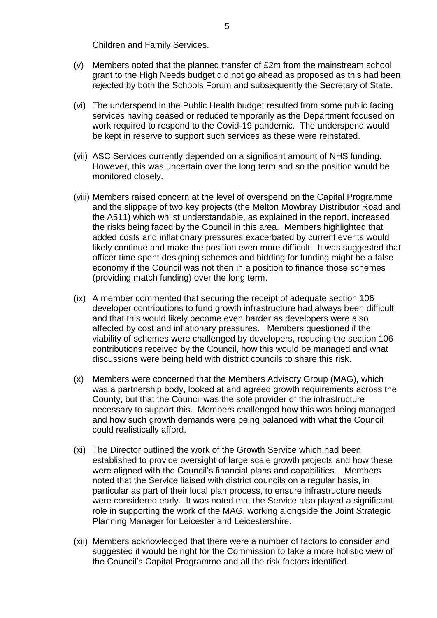Children and Family Services.

- (v) Members noted that the planned transfer of £2m from the mainstream school grant to the High Needs budget did not go ahead as proposed as this had been rejected by both the Schools Forum and subsequently the Secretary of State.
- (vi) The underspend in the Public Health budget resulted from some public facing services having ceased or reduced temporarily as the Department focused on work required to respond to the Covid-19 pandemic. The underspend would be kept in reserve to support such services as these were reinstated.
- (vii) ASC Services currently depended on a significant amount of NHS funding. However, this was uncertain over the long term and so the position would be monitored closely.
- (viii) Members raised concern at the level of overspend on the Capital Programme and the slippage of two key projects (the Melton Mowbray Distributor Road and the A511) which whilst understandable, as explained in the report, increased the risks being faced by the Council in this area. Members highlighted that added costs and inflationary pressures exacerbated by current events would likely continue and make the position even more difficult. It was suggested that officer time spent designing schemes and bidding for funding might be a false economy if the Council was not then in a position to finance those schemes (providing match funding) over the long term.
- (ix) A member commented that securing the receipt of adequate section 106 developer contributions to fund growth infrastructure had always been difficult and that this would likely become even harder as developers were also affected by cost and inflationary pressures. Members questioned if the viability of schemes were challenged by developers, reducing the section 106 contributions received by the Council, how this would be managed and what discussions were being held with district councils to share this risk.
- (x) Members were concerned that the Members Advisory Group (MAG), which was a partnership body, looked at and agreed growth requirements across the County, but that the Council was the sole provider of the infrastructure necessary to support this. Members challenged how this was being managed and how such growth demands were being balanced with what the Council could realistically afford.
- (xi) The Director outlined the work of the Growth Service which had been established to provide oversight of large scale growth projects and how these were aligned with the Council's financial plans and capabilities. Members noted that the Service liaised with district councils on a regular basis, in particular as part of their local plan process, to ensure infrastructure needs were considered early. It was noted that the Service also played a significant role in supporting the work of the MAG, working alongside the Joint Strategic Planning Manager for Leicester and Leicestershire.
- (xii) Members acknowledged that there were a number of factors to consider and suggested it would be right for the Commission to take a more holistic view of the Council's Capital Programme and all the risk factors identified.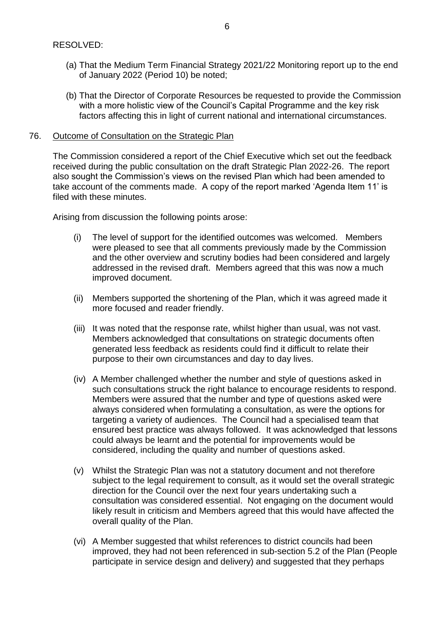- (a) That the Medium Term Financial Strategy 2021/22 Monitoring report up to the end of January 2022 (Period 10) be noted;
- (b) That the Director of Corporate Resources be requested to provide the Commission with a more holistic view of the Council's Capital Programme and the key risk factors affecting this in light of current national and international circumstances.

## 76. Outcome of Consultation on the Strategic Plan

The Commission considered a report of the Chief Executive which set out the feedback received during the public consultation on the draft Strategic Plan 2022-26. The report also sought the Commission's views on the revised Plan which had been amended to take account of the comments made. A copy of the report marked 'Agenda Item 11' is filed with these minutes.

Arising from discussion the following points arose:

- (i) The level of support for the identified outcomes was welcomed. Members were pleased to see that all comments previously made by the Commission and the other overview and scrutiny bodies had been considered and largely addressed in the revised draft. Members agreed that this was now a much improved document.
- (ii) Members supported the shortening of the Plan, which it was agreed made it more focused and reader friendly.
- (iii) It was noted that the response rate, whilst higher than usual, was not vast. Members acknowledged that consultations on strategic documents often generated less feedback as residents could find it difficult to relate their purpose to their own circumstances and day to day lives.
- (iv) A Member challenged whether the number and style of questions asked in such consultations struck the right balance to encourage residents to respond. Members were assured that the number and type of questions asked were always considered when formulating a consultation, as were the options for targeting a variety of audiences. The Council had a specialised team that ensured best practice was always followed. It was acknowledged that lessons could always be learnt and the potential for improvements would be considered, including the quality and number of questions asked.
- (v) Whilst the Strategic Plan was not a statutory document and not therefore subject to the legal requirement to consult, as it would set the overall strategic direction for the Council over the next four years undertaking such a consultation was considered essential. Not engaging on the document would likely result in criticism and Members agreed that this would have affected the overall quality of the Plan.
- (vi) A Member suggested that whilst references to district councils had been improved, they had not been referenced in sub-section 5.2 of the Plan (People participate in service design and delivery) and suggested that they perhaps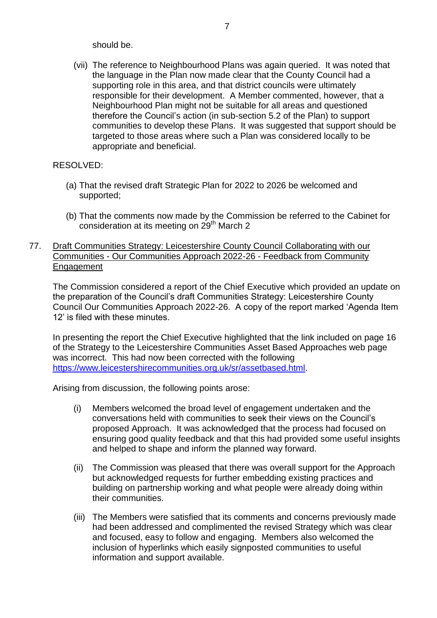should be.

(vii) The reference to Neighbourhood Plans was again queried. It was noted that the language in the Plan now made clear that the County Council had a supporting role in this area, and that district councils were ultimately responsible for their development. A Member commented, however, that a Neighbourhood Plan might not be suitable for all areas and questioned therefore the Council's action (in sub-section 5.2 of the Plan) to support communities to develop these Plans. It was suggested that support should be targeted to those areas where such a Plan was considered locally to be appropriate and beneficial.

## RESOLVED:

- (a) That the revised draft Strategic Plan for 2022 to 2026 be welcomed and supported;
- (b) That the comments now made by the Commission be referred to the Cabinet for consideration at its meeting on 29<sup>th</sup> March 2
- 77. Draft Communities Strategy: Leicestershire County Council Collaborating with our Communities - Our Communities Approach 2022-26 - Feedback from Community Engagement

The Commission considered a report of the Chief Executive which provided an update on the preparation of the Council's draft Communities Strategy: Leicestershire County Council Our Communities Approach 2022-26. A copy of the report marked 'Agenda Item 12' is filed with these minutes.

In presenting the report the Chief Executive highlighted that the link included on page 16 of the Strategy to the Leicestershire Communities Asset Based Approaches web page was incorrect. This had now been corrected with the following [https://www.leicestershirecommunities.org.uk/sr/assetbased.html.](https://www.leicestershirecommunities.org.uk/sr/assetbased.html)

Arising from discussion, the following points arose:

- (i) Members welcomed the broad level of engagement undertaken and the conversations held with communities to seek their views on the Council's proposed Approach. It was acknowledged that the process had focused on ensuring good quality feedback and that this had provided some useful insights and helped to shape and inform the planned way forward.
- (ii) The Commission was pleased that there was overall support for the Approach but acknowledged requests for further embedding existing practices and building on partnership working and what people were already doing within their communities.
- (iii) The Members were satisfied that its comments and concerns previously made had been addressed and complimented the revised Strategy which was clear and focused, easy to follow and engaging. Members also welcomed the inclusion of hyperlinks which easily signposted communities to useful information and support available.